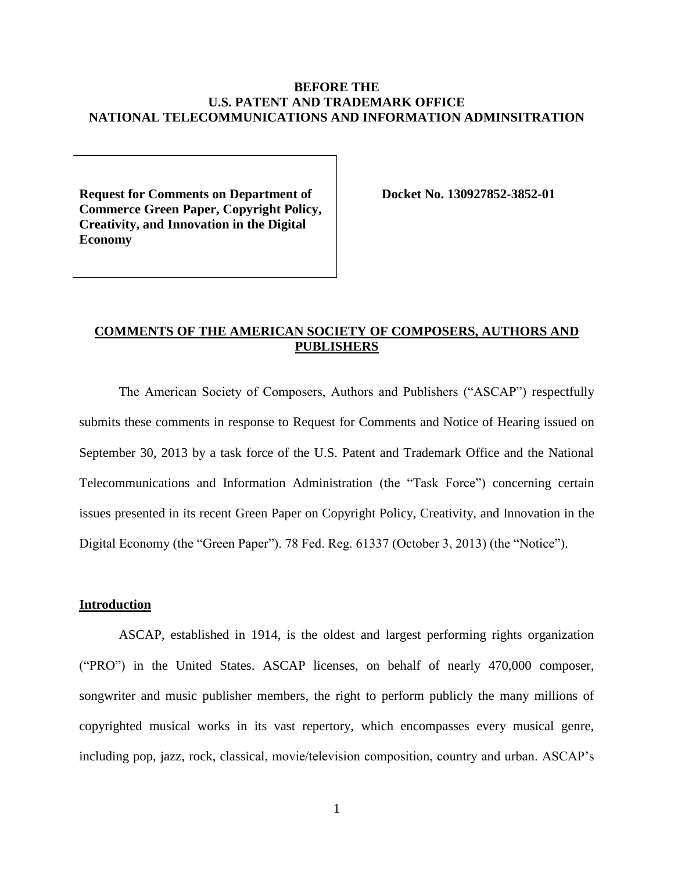## **BEFORE THE U.S. PATENT AND TRADEMARK OFFICE NATIONAL TELECOMMUNICATIONS AND INFORMATION ADMINSITRATION**

**Request for Comments on Department of Commerce Green Paper, Copyright Policy, Creativity, and Innovation in the Digital Economy**

**Docket No. 130927852-3852-01**

# **COMMENTS OF THE AMERICAN SOCIETY OF COMPOSERS, AUTHORS AND PUBLISHERS**

The American Society of Composers, Authors and Publishers ("ASCAP") respectfully submits these comments in response to Request for Comments and Notice of Hearing issued on September 30, 2013 by a task force of the U.S. Patent and Trademark Office and the National Telecommunications and Information Administration (the "Task Force") concerning certain issues presented in its recent Green Paper on Copyright Policy, Creativity, and Innovation in the Digital Economy (the "Green Paper"). 78 Fed. Reg. 61337 (October 3, 2013) (the "Notice").

### **Introduction**

ASCAP, established in 1914, is the oldest and largest performing rights organization ("PRO") in the United States. ASCAP licenses, on behalf of nearly 470,000 composer, songwriter and music publisher members, the right to perform publicly the many millions of copyrighted musical works in its vast repertory, which encompasses every musical genre, including pop, jazz, rock, classical, movie/television composition, country and urban. ASCAP's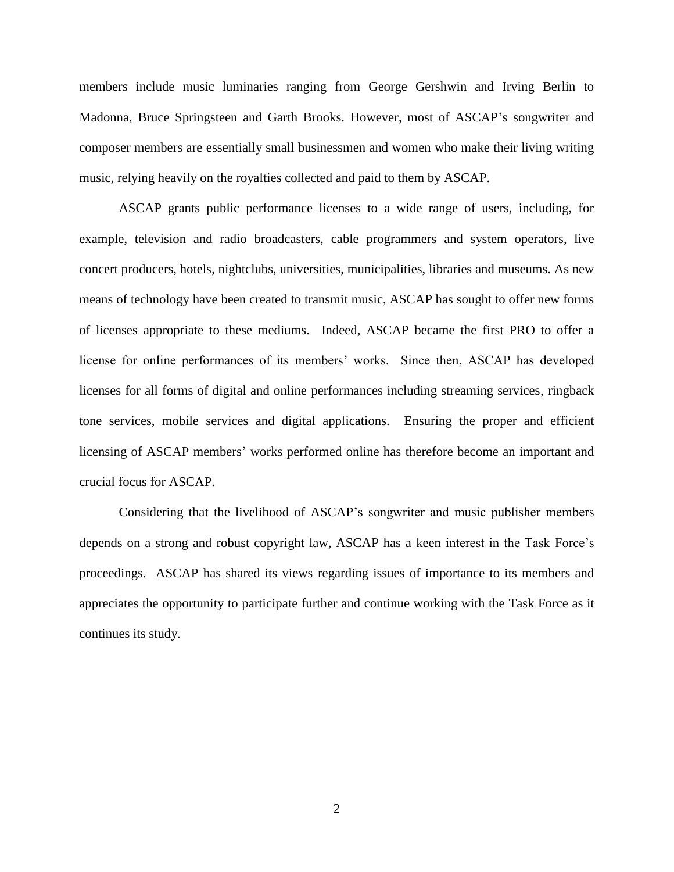members include music luminaries ranging from George Gershwin and Irving Berlin to Madonna, Bruce Springsteen and Garth Brooks. However, most of ASCAP's songwriter and composer members are essentially small businessmen and women who make their living writing music, relying heavily on the royalties collected and paid to them by ASCAP.

ASCAP grants public performance licenses to a wide range of users, including, for example, television and radio broadcasters, cable programmers and system operators, live concert producers, hotels, nightclubs, universities, municipalities, libraries and museums. As new means of technology have been created to transmit music, ASCAP has sought to offer new forms of licenses appropriate to these mediums. Indeed, ASCAP became the first PRO to offer a license for online performances of its members' works. Since then, ASCAP has developed licenses for all forms of digital and online performances including streaming services, ringback tone services, mobile services and digital applications. Ensuring the proper and efficient licensing of ASCAP members' works performed online has therefore become an important and crucial focus for ASCAP.

Considering that the livelihood of ASCAP's songwriter and music publisher members depends on a strong and robust copyright law, ASCAP has a keen interest in the Task Force's proceedings. ASCAP has shared its views regarding issues of importance to its members and appreciates the opportunity to participate further and continue working with the Task Force as it continues its study.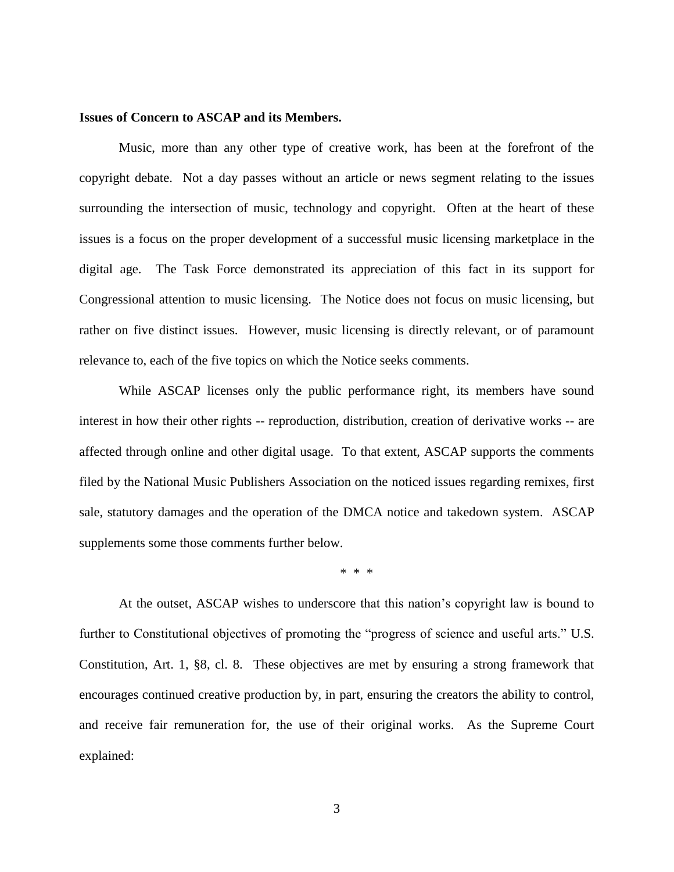#### **Issues of Concern to ASCAP and its Members.**

Music, more than any other type of creative work, has been at the forefront of the copyright debate. Not a day passes without an article or news segment relating to the issues surrounding the intersection of music, technology and copyright. Often at the heart of these issues is a focus on the proper development of a successful music licensing marketplace in the digital age. The Task Force demonstrated its appreciation of this fact in its support for Congressional attention to music licensing. The Notice does not focus on music licensing, but rather on five distinct issues. However, music licensing is directly relevant, or of paramount relevance to, each of the five topics on which the Notice seeks comments.

While ASCAP licenses only the public performance right, its members have sound interest in how their other rights -- reproduction, distribution, creation of derivative works -- are affected through online and other digital usage. To that extent, ASCAP supports the comments filed by the National Music Publishers Association on the noticed issues regarding remixes, first sale, statutory damages and the operation of the DMCA notice and takedown system. ASCAP supplements some those comments further below.

\* \* \*

At the outset, ASCAP wishes to underscore that this nation's copyright law is bound to further to Constitutional objectives of promoting the "progress of science and useful arts." U.S. Constitution, Art. 1, §8, cl. 8. These objectives are met by ensuring a strong framework that encourages continued creative production by, in part, ensuring the creators the ability to control, and receive fair remuneration for, the use of their original works. As the Supreme Court explained: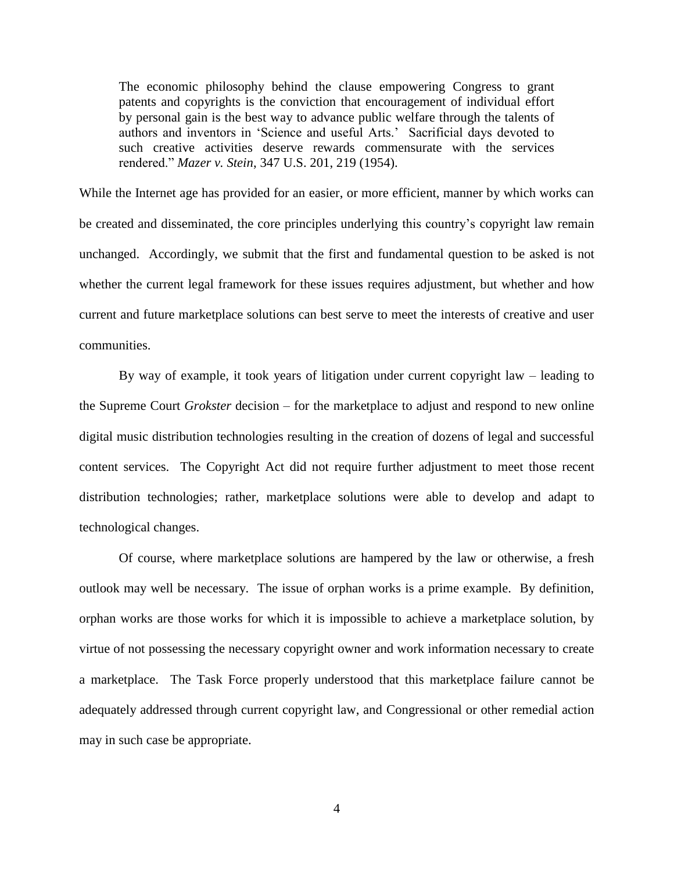The economic philosophy behind the clause empowering Congress to grant patents and copyrights is the conviction that encouragement of individual effort by personal gain is the best way to advance public welfare through the talents of authors and inventors in 'Science and useful Arts.' Sacrificial days devoted to such creative activities deserve rewards commensurate with the services rendered." *Mazer v. Stein*, 347 U.S. 201, 219 (1954).

While the Internet age has provided for an easier, or more efficient, manner by which works can be created and disseminated, the core principles underlying this country's copyright law remain unchanged. Accordingly, we submit that the first and fundamental question to be asked is not whether the current legal framework for these issues requires adjustment, but whether and how current and future marketplace solutions can best serve to meet the interests of creative and user communities.

By way of example, it took years of litigation under current copyright law – leading to the Supreme Court *Grokster* decision – for the marketplace to adjust and respond to new online digital music distribution technologies resulting in the creation of dozens of legal and successful content services. The Copyright Act did not require further adjustment to meet those recent distribution technologies; rather, marketplace solutions were able to develop and adapt to technological changes.

Of course, where marketplace solutions are hampered by the law or otherwise, a fresh outlook may well be necessary. The issue of orphan works is a prime example. By definition, orphan works are those works for which it is impossible to achieve a marketplace solution, by virtue of not possessing the necessary copyright owner and work information necessary to create a marketplace. The Task Force properly understood that this marketplace failure cannot be adequately addressed through current copyright law, and Congressional or other remedial action may in such case be appropriate.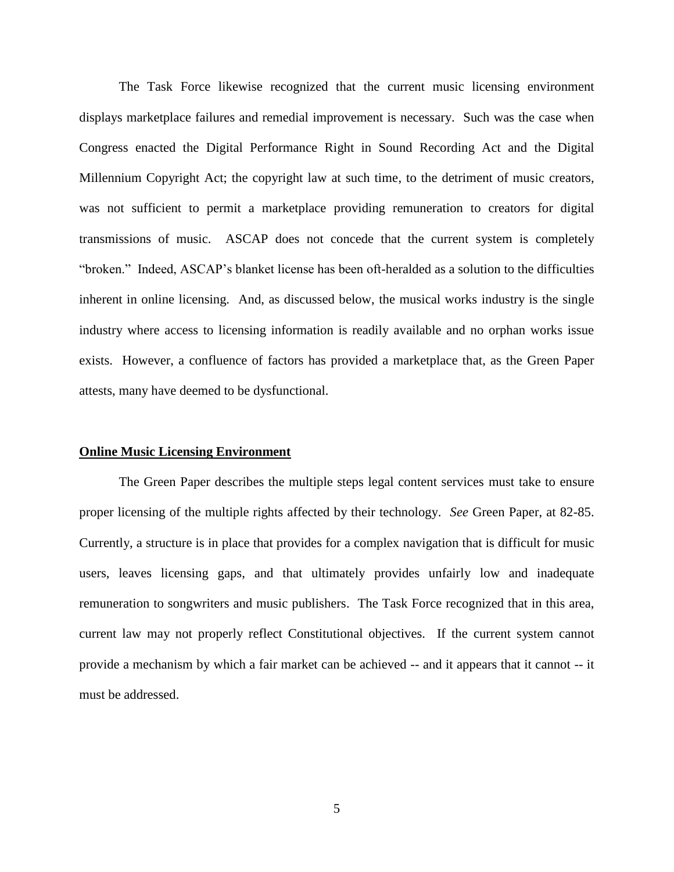The Task Force likewise recognized that the current music licensing environment displays marketplace failures and remedial improvement is necessary. Such was the case when Congress enacted the Digital Performance Right in Sound Recording Act and the Digital Millennium Copyright Act; the copyright law at such time, to the detriment of music creators, was not sufficient to permit a marketplace providing remuneration to creators for digital transmissions of music. ASCAP does not concede that the current system is completely "broken." Indeed, ASCAP's blanket license has been oft-heralded as a solution to the difficulties inherent in online licensing. And, as discussed below, the musical works industry is the single industry where access to licensing information is readily available and no orphan works issue exists. However, a confluence of factors has provided a marketplace that, as the Green Paper attests, many have deemed to be dysfunctional.

#### **Online Music Licensing Environment**

The Green Paper describes the multiple steps legal content services must take to ensure proper licensing of the multiple rights affected by their technology. *See* Green Paper, at 82-85. Currently, a structure is in place that provides for a complex navigation that is difficult for music users, leaves licensing gaps, and that ultimately provides unfairly low and inadequate remuneration to songwriters and music publishers. The Task Force recognized that in this area, current law may not properly reflect Constitutional objectives. If the current system cannot provide a mechanism by which a fair market can be achieved -- and it appears that it cannot -- it must be addressed.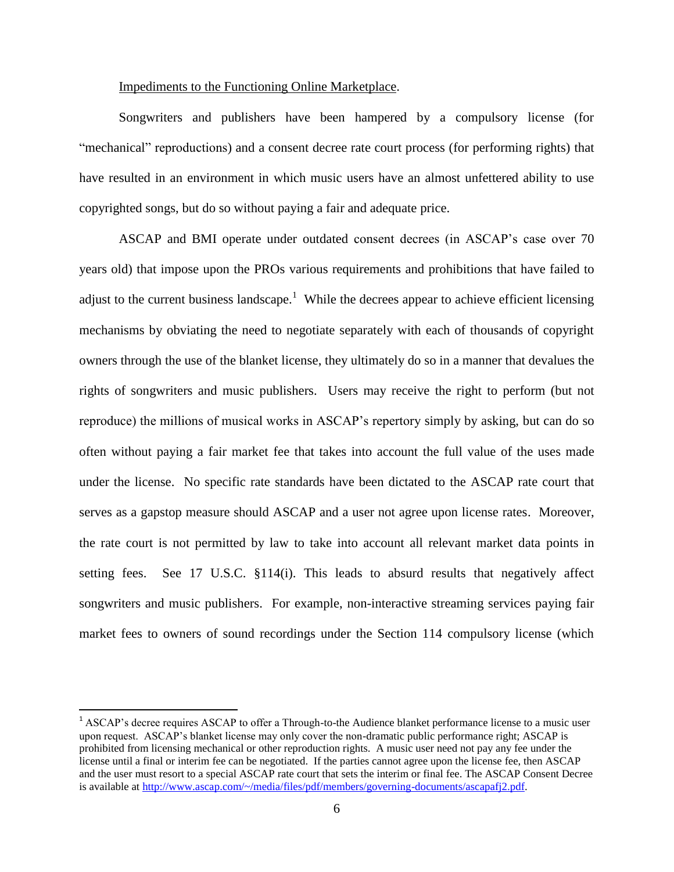#### Impediments to the Functioning Online Marketplace.

Songwriters and publishers have been hampered by a compulsory license (for "mechanical" reproductions) and a consent decree rate court process (for performing rights) that have resulted in an environment in which music users have an almost unfettered ability to use copyrighted songs, but do so without paying a fair and adequate price.

ASCAP and BMI operate under outdated consent decrees (in ASCAP's case over 70 years old) that impose upon the PROs various requirements and prohibitions that have failed to adjust to the current business landscape.<sup>1</sup> While the decrees appear to achieve efficient licensing mechanisms by obviating the need to negotiate separately with each of thousands of copyright owners through the use of the blanket license, they ultimately do so in a manner that devalues the rights of songwriters and music publishers. Users may receive the right to perform (but not reproduce) the millions of musical works in ASCAP's repertory simply by asking, but can do so often without paying a fair market fee that takes into account the full value of the uses made under the license. No specific rate standards have been dictated to the ASCAP rate court that serves as a gapstop measure should ASCAP and a user not agree upon license rates. Moreover, the rate court is not permitted by law to take into account all relevant market data points in setting fees. See 17 U.S.C. §114(i). This leads to absurd results that negatively affect songwriters and music publishers. For example, non-interactive streaming services paying fair market fees to owners of sound recordings under the Section 114 compulsory license (which

 $\overline{a}$ 

 $<sup>1</sup>$  ASCAP's decree requires ASCAP to offer a Through-to-the Audience blanket performance license to a music user</sup> upon request. ASCAP's blanket license may only cover the non-dramatic public performance right; ASCAP is prohibited from licensing mechanical or other reproduction rights. A music user need not pay any fee under the license until a final or interim fee can be negotiated. If the parties cannot agree upon the license fee, then ASCAP and the user must resort to a special ASCAP rate court that sets the interim or final fee. The ASCAP Consent Decree is available at [http://www.ascap.com/~/media/files/pdf/members/governing-documents/ascapafj2.pdf.](http://www.ascap.com/~/media/files/pdf/members/governing-documents/ascapafj2.pdf)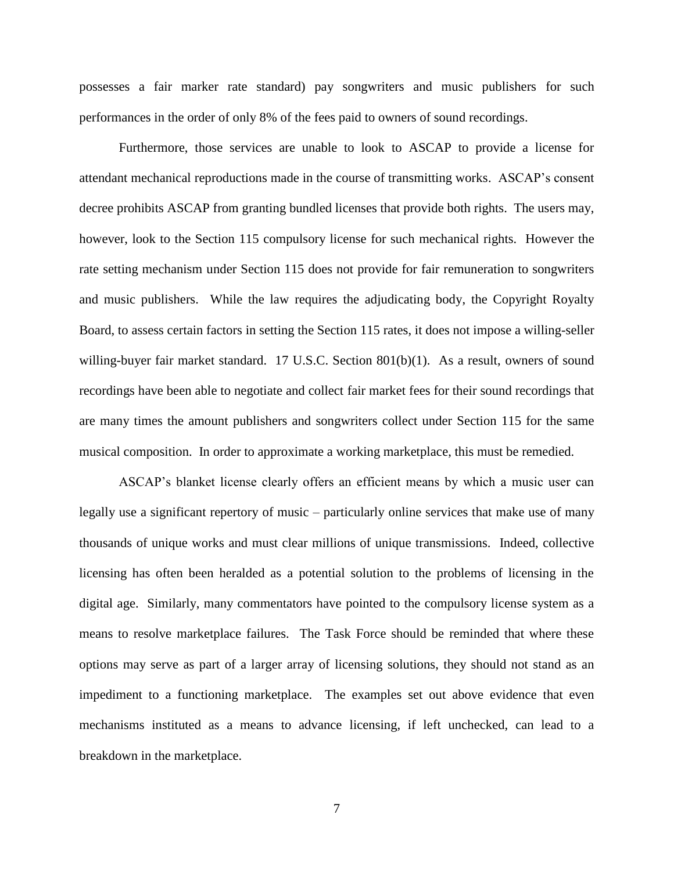possesses a fair marker rate standard) pay songwriters and music publishers for such performances in the order of only 8% of the fees paid to owners of sound recordings.

Furthermore, those services are unable to look to ASCAP to provide a license for attendant mechanical reproductions made in the course of transmitting works. ASCAP's consent decree prohibits ASCAP from granting bundled licenses that provide both rights. The users may, however, look to the Section 115 compulsory license for such mechanical rights. However the rate setting mechanism under Section 115 does not provide for fair remuneration to songwriters and music publishers. While the law requires the adjudicating body, the Copyright Royalty Board, to assess certain factors in setting the Section 115 rates, it does not impose a willing-seller willing-buyer fair market standard.  $17 \text{ U.S.C.}$  Section  $801(b)(1)$ . As a result, owners of sound recordings have been able to negotiate and collect fair market fees for their sound recordings that are many times the amount publishers and songwriters collect under Section 115 for the same musical composition. In order to approximate a working marketplace, this must be remedied.

ASCAP's blanket license clearly offers an efficient means by which a music user can legally use a significant repertory of music – particularly online services that make use of many thousands of unique works and must clear millions of unique transmissions. Indeed, collective licensing has often been heralded as a potential solution to the problems of licensing in the digital age. Similarly, many commentators have pointed to the compulsory license system as a means to resolve marketplace failures. The Task Force should be reminded that where these options may serve as part of a larger array of licensing solutions, they should not stand as an impediment to a functioning marketplace. The examples set out above evidence that even mechanisms instituted as a means to advance licensing, if left unchecked, can lead to a breakdown in the marketplace.

7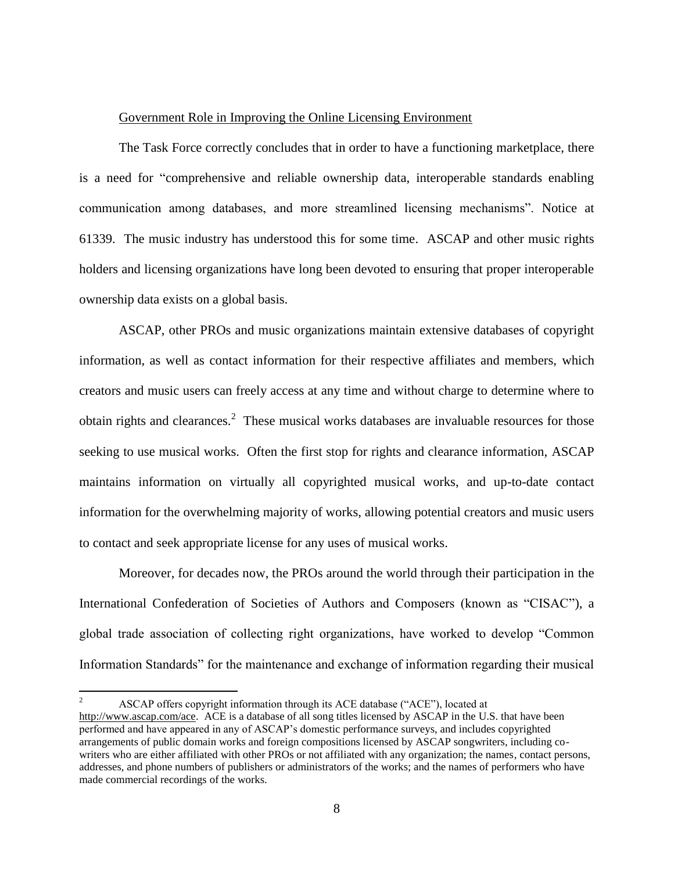#### Government Role in Improving the Online Licensing Environment

The Task Force correctly concludes that in order to have a functioning marketplace, there is a need for "comprehensive and reliable ownership data, interoperable standards enabling communication among databases, and more streamlined licensing mechanisms". Notice at 61339. The music industry has understood this for some time. ASCAP and other music rights holders and licensing organizations have long been devoted to ensuring that proper interoperable ownership data exists on a global basis.

ASCAP, other PROs and music organizations maintain extensive databases of copyright information, as well as contact information for their respective affiliates and members, which creators and music users can freely access at any time and without charge to determine where to obtain rights and clearances.<sup>2</sup> These musical works databases are invaluable resources for those seeking to use musical works. Often the first stop for rights and clearance information, ASCAP maintains information on virtually all copyrighted musical works, and up-to-date contact information for the overwhelming majority of works, allowing potential creators and music users to contact and seek appropriate license for any uses of musical works.

Moreover, for decades now, the PROs around the world through their participation in the International Confederation of Societies of Authors and Composers (known as "CISAC"), a global trade association of collecting right organizations, have worked to develop "Common Information Standards" for the maintenance and exchange of information regarding their musical

 $\overline{2}$ <sup>2</sup> ASCAP offers copyright information through its ACE database ("ACE"), located at http://www.ascap.com/ace. ACE is a database of all song titles licensed by ASCAP in the U.S. that have been performed and have appeared in any of ASCAP's domestic performance surveys, and includes copyrighted arrangements of public domain works and foreign compositions licensed by ASCAP songwriters, including cowriters who are either affiliated with other PROs or not affiliated with any organization; the names, contact persons, addresses, and phone numbers of publishers or administrators of the works; and the names of performers who have made commercial recordings of the works.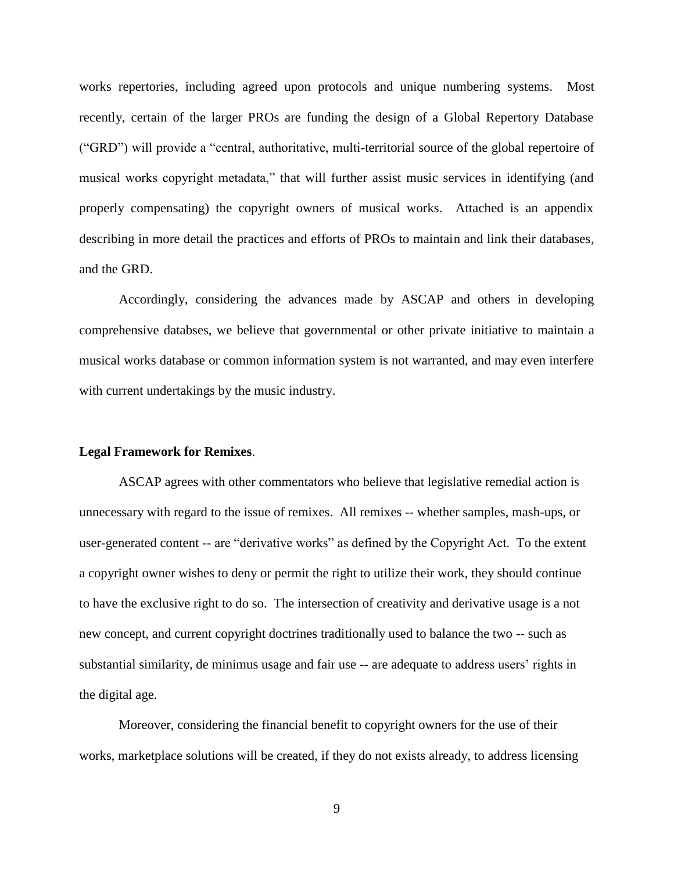works repertories, including agreed upon protocols and unique numbering systems. Most recently, certain of the larger PROs are funding the design of a Global Repertory Database ("GRD") will provide a "central, authoritative, multi-territorial source of the global repertoire of musical works copyright metadata," that will further assist music services in identifying (and properly compensating) the copyright owners of musical works. Attached is an appendix describing in more detail the practices and efforts of PROs to maintain and link their databases, and the GRD.

 Accordingly, considering the advances made by ASCAP and others in developing comprehensive databses, we believe that governmental or other private initiative to maintain a musical works database or common information system is not warranted, and may even interfere with current undertakings by the music industry.

#### **Legal Framework for Remixes**.

ASCAP agrees with other commentators who believe that legislative remedial action is unnecessary with regard to the issue of remixes. All remixes -- whether samples, mash-ups, or user-generated content -- are "derivative works" as defined by the Copyright Act. To the extent a copyright owner wishes to deny or permit the right to utilize their work, they should continue to have the exclusive right to do so. The intersection of creativity and derivative usage is a not new concept, and current copyright doctrines traditionally used to balance the two -- such as substantial similarity, de minimus usage and fair use -- are adequate to address users' rights in the digital age.

Moreover, considering the financial benefit to copyright owners for the use of their works, marketplace solutions will be created, if they do not exists already, to address licensing

9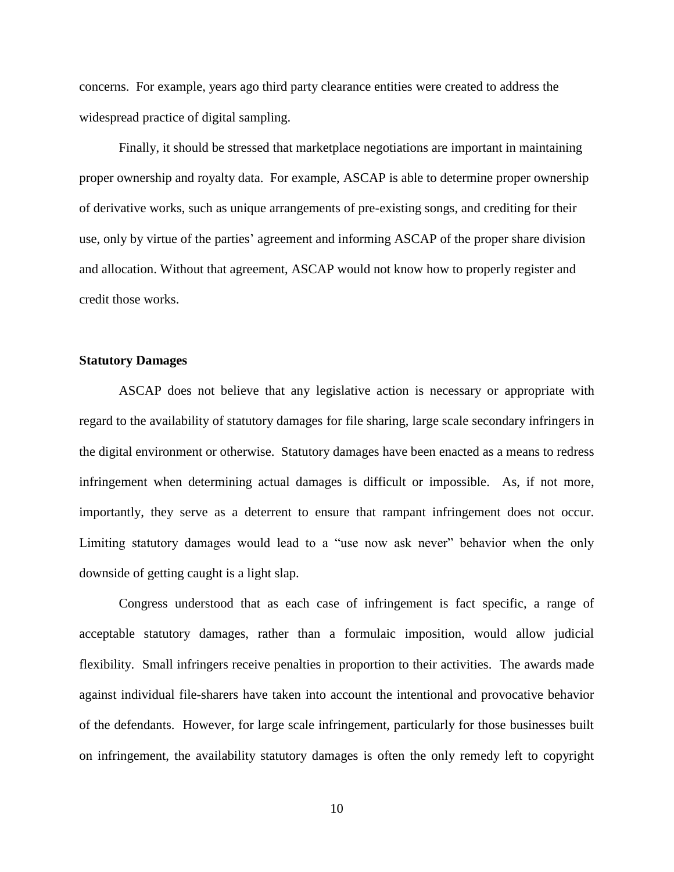concerns. For example, years ago third party clearance entities were created to address the widespread practice of digital sampling.

Finally, it should be stressed that marketplace negotiations are important in maintaining proper ownership and royalty data. For example, ASCAP is able to determine proper ownership of derivative works, such as unique arrangements of pre-existing songs, and crediting for their use, only by virtue of the parties' agreement and informing ASCAP of the proper share division and allocation. Without that agreement, ASCAP would not know how to properly register and credit those works.

### **Statutory Damages**

ASCAP does not believe that any legislative action is necessary or appropriate with regard to the availability of statutory damages for file sharing, large scale secondary infringers in the digital environment or otherwise. Statutory damages have been enacted as a means to redress infringement when determining actual damages is difficult or impossible. As, if not more, importantly, they serve as a deterrent to ensure that rampant infringement does not occur. Limiting statutory damages would lead to a "use now ask never" behavior when the only downside of getting caught is a light slap.

Congress understood that as each case of infringement is fact specific, a range of acceptable statutory damages, rather than a formulaic imposition, would allow judicial flexibility. Small infringers receive penalties in proportion to their activities. The awards made against individual file-sharers have taken into account the intentional and provocative behavior of the defendants. However, for large scale infringement, particularly for those businesses built on infringement, the availability statutory damages is often the only remedy left to copyright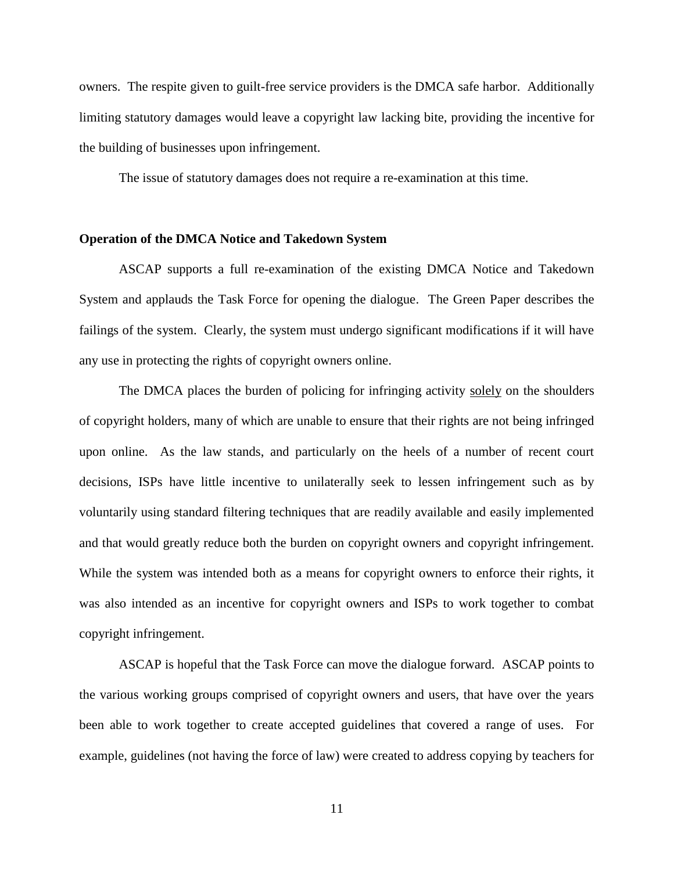owners. The respite given to guilt-free service providers is the DMCA safe harbor. Additionally limiting statutory damages would leave a copyright law lacking bite, providing the incentive for the building of businesses upon infringement.

The issue of statutory damages does not require a re-examination at this time.

#### **Operation of the DMCA Notice and Takedown System**

ASCAP supports a full re-examination of the existing DMCA Notice and Takedown System and applauds the Task Force for opening the dialogue. The Green Paper describes the failings of the system. Clearly, the system must undergo significant modifications if it will have any use in protecting the rights of copyright owners online.

The DMCA places the burden of policing for infringing activity solely on the shoulders of copyright holders, many of which are unable to ensure that their rights are not being infringed upon online. As the law stands, and particularly on the heels of a number of recent court decisions, ISPs have little incentive to unilaterally seek to lessen infringement such as by voluntarily using standard filtering techniques that are readily available and easily implemented and that would greatly reduce both the burden on copyright owners and copyright infringement. While the system was intended both as a means for copyright owners to enforce their rights, it was also intended as an incentive for copyright owners and ISPs to work together to combat copyright infringement.

ASCAP is hopeful that the Task Force can move the dialogue forward. ASCAP points to the various working groups comprised of copyright owners and users, that have over the years been able to work together to create accepted guidelines that covered a range of uses. For example, guidelines (not having the force of law) were created to address copying by teachers for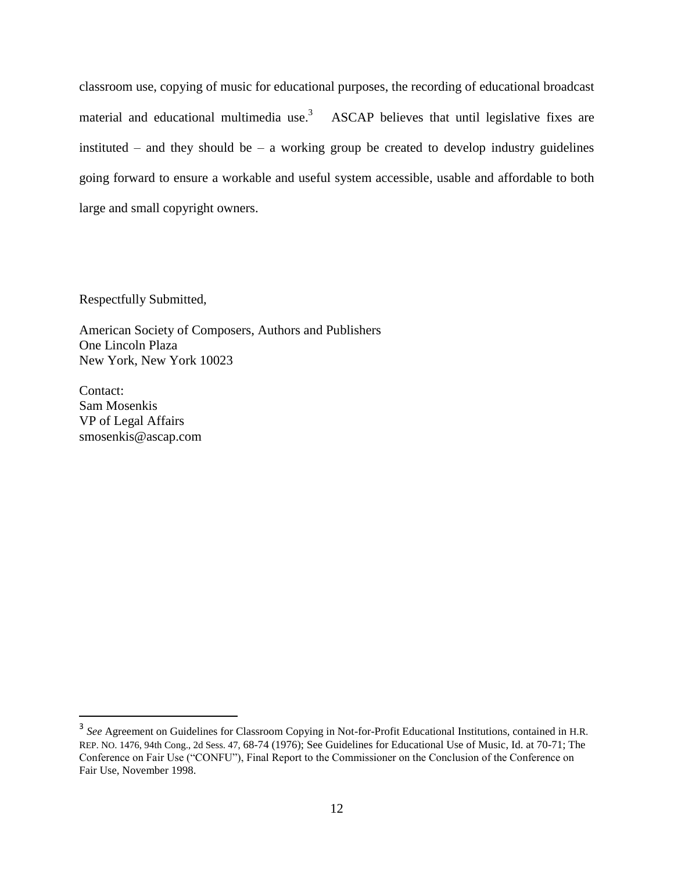classroom use, copying of music for educational purposes, the recording of educational broadcast material and educational multimedia use.<sup>3</sup> ASCAP believes that until legislative fixes are instituted – and they should be – a working group be created to develop industry guidelines going forward to ensure a workable and useful system accessible, usable and affordable to both large and small copyright owners.

Respectfully Submitted,

American Society of Composers, Authors and Publishers One Lincoln Plaza New York, New York 10023

Contact: Sam Mosenkis VP of Legal Affairs smosenkis@ascap.com

 $\overline{a}$ 

<sup>&</sup>lt;sup>3</sup> See Agreement on Guidelines for Classroom Copying in Not-for-Profit Educational Institutions, contained in H.R. REP. NO. 1476, 94th Cong., 2d Sess. 47, 68-74 (1976); See Guidelines for Educational Use of Music, Id. at 70-71; The Conference on Fair Use ("CONFU"), Final Report to the Commissioner on the Conclusion of the Conference on Fair Use, November 1998.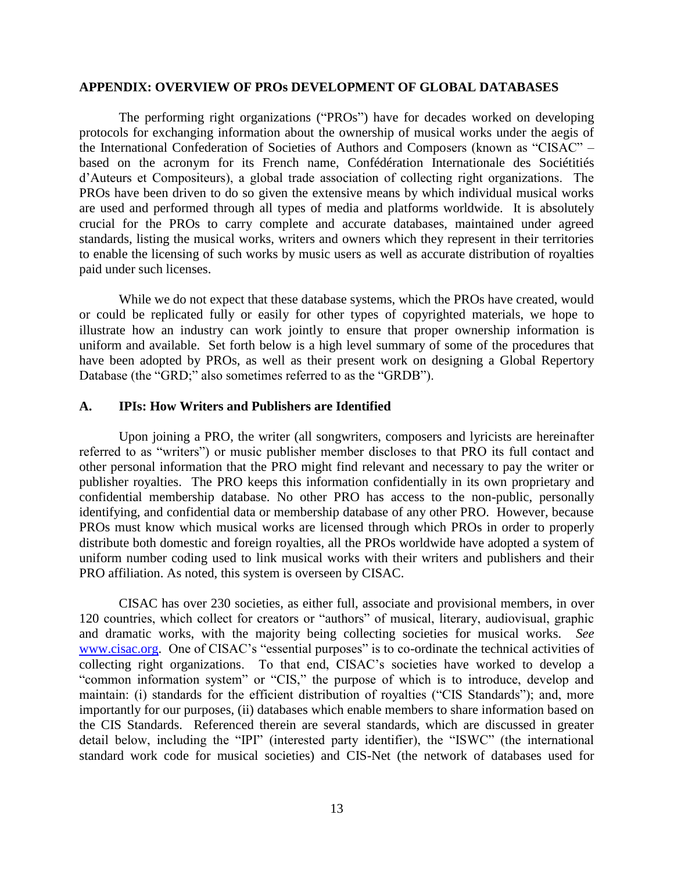#### **APPENDIX: OVERVIEW OF PROs DEVELOPMENT OF GLOBAL DATABASES**

The performing right organizations ("PROs") have for decades worked on developing protocols for exchanging information about the ownership of musical works under the aegis of the International Confederation of Societies of Authors and Composers (known as "CISAC" – based on the acronym for its French name, Confédération Internationale des Sociétitiés d'Auteurs et Compositeurs), a global trade association of collecting right organizations. The PROs have been driven to do so given the extensive means by which individual musical works are used and performed through all types of media and platforms worldwide. It is absolutely crucial for the PROs to carry complete and accurate databases, maintained under agreed standards, listing the musical works, writers and owners which they represent in their territories to enable the licensing of such works by music users as well as accurate distribution of royalties paid under such licenses.

While we do not expect that these database systems, which the PROs have created, would or could be replicated fully or easily for other types of copyrighted materials, we hope to illustrate how an industry can work jointly to ensure that proper ownership information is uniform and available. Set forth below is a high level summary of some of the procedures that have been adopted by PROs, as well as their present work on designing a Global Repertory Database (the "GRD;" also sometimes referred to as the "GRDB").

#### **A. IPIs: How Writers and Publishers are Identified**

Upon joining a PRO, the writer (all songwriters, composers and lyricists are hereinafter referred to as "writers") or music publisher member discloses to that PRO its full contact and other personal information that the PRO might find relevant and necessary to pay the writer or publisher royalties. The PRO keeps this information confidentially in its own proprietary and confidential membership database. No other PRO has access to the non-public, personally identifying, and confidential data or membership database of any other PRO. However, because PROs must know which musical works are licensed through which PROs in order to properly distribute both domestic and foreign royalties, all the PROs worldwide have adopted a system of uniform number coding used to link musical works with their writers and publishers and their PRO affiliation. As noted, this system is overseen by CISAC.

CISAC has over 230 societies, as either full, associate and provisional members, in over 120 countries, which collect for creators or "authors" of musical, literary, audiovisual, graphic and dramatic works, with the majority being collecting societies for musical works. *See* [www.cisac.org.](http://www.cisac.org/) One of CISAC's "essential purposes" is to co-ordinate the technical activities of collecting right organizations. To that end, CISAC's societies have worked to develop a "common information system" or "CIS," the purpose of which is to introduce, develop and maintain: (i) standards for the efficient distribution of royalties ("CIS Standards"); and, more importantly for our purposes, (ii) databases which enable members to share information based on the CIS Standards. Referenced therein are several standards, which are discussed in greater detail below, including the "IPI" (interested party identifier), the "ISWC" (the international standard work code for musical societies) and CIS-Net (the network of databases used for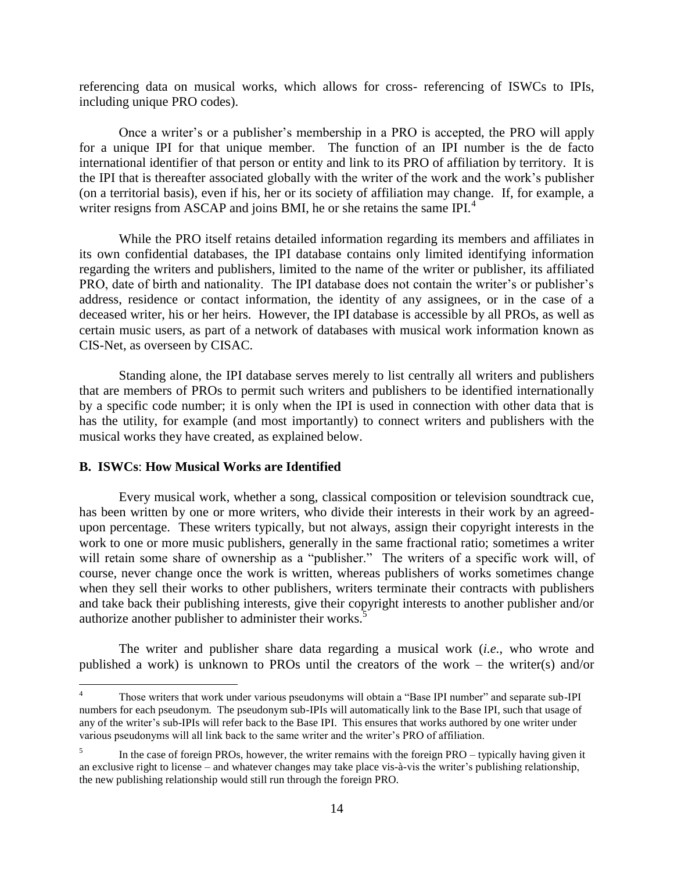referencing data on musical works, which allows for cross- referencing of ISWCs to IPIs, including unique PRO codes).

Once a writer's or a publisher's membership in a PRO is accepted, the PRO will apply for a unique IPI for that unique member. The function of an IPI number is the de facto international identifier of that person or entity and link to its PRO of affiliation by territory. It is the IPI that is thereafter associated globally with the writer of the work and the work's publisher (on a territorial basis), even if his, her or its society of affiliation may change. If, for example, a writer resigns from ASCAP and joins BMI, he or she retains the same IPI.<sup>4</sup>

While the PRO itself retains detailed information regarding its members and affiliates in its own confidential databases, the IPI database contains only limited identifying information regarding the writers and publishers, limited to the name of the writer or publisher, its affiliated PRO, date of birth and nationality. The IPI database does not contain the writer's or publisher's address, residence or contact information, the identity of any assignees, or in the case of a deceased writer, his or her heirs. However, the IPI database is accessible by all PROs, as well as certain music users, as part of a network of databases with musical work information known as CIS-Net, as overseen by CISAC.

Standing alone, the IPI database serves merely to list centrally all writers and publishers that are members of PROs to permit such writers and publishers to be identified internationally by a specific code number; it is only when the IPI is used in connection with other data that is has the utility, for example (and most importantly) to connect writers and publishers with the musical works they have created, as explained below.

### **B. ISWCs**: **How Musical Works are Identified**

 $\overline{a}$ 

Every musical work, whether a song, classical composition or television soundtrack cue, has been written by one or more writers, who divide their interests in their work by an agreedupon percentage. These writers typically, but not always, assign their copyright interests in the work to one or more music publishers, generally in the same fractional ratio; sometimes a writer will retain some share of ownership as a "publisher." The writers of a specific work will, of course, never change once the work is written, whereas publishers of works sometimes change when they sell their works to other publishers, writers terminate their contracts with publishers and take back their publishing interests, give their copyright interests to another publisher and/or authorize another publisher to administer their works.<sup>5</sup>

The writer and publisher share data regarding a musical work (*i.e.*, who wrote and published a work) is unknown to PROs until the creators of the work – the writer(s) and/or

<sup>4</sup> Those writers that work under various pseudonyms will obtain a "Base IPI number" and separate sub-IPI numbers for each pseudonym. The pseudonym sub-IPIs will automatically link to the Base IPI, such that usage of any of the writer's sub-IPIs will refer back to the Base IPI. This ensures that works authored by one writer under various pseudonyms will all link back to the same writer and the writer's PRO of affiliation.

<sup>5</sup> In the case of foreign PROs, however, the writer remains with the foreign PRO – typically having given it an exclusive right to license – and whatever changes may take place vis-à-vis the writer's publishing relationship, the new publishing relationship would still run through the foreign PRO.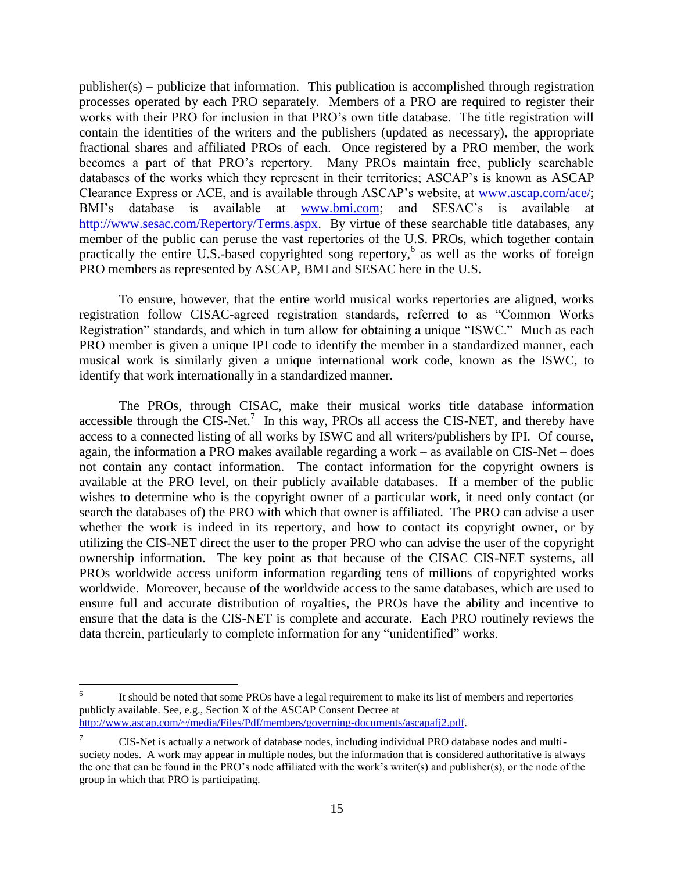publisher(s) – publicize that information. This publication is accomplished through registration processes operated by each PRO separately. Members of a PRO are required to register their works with their PRO for inclusion in that PRO's own title database. The title registration will contain the identities of the writers and the publishers (updated as necessary), the appropriate fractional shares and affiliated PROs of each. Once registered by a PRO member, the work becomes a part of that PRO's repertory. Many PROs maintain free, publicly searchable databases of the works which they represent in their territories; ASCAP's is known as ASCAP Clearance Express or ACE, and is available through ASCAP's website, at [www.ascap.com/ace/;](http://www.ascap.com/ace/) BMI's database is available at [www.bmi.com;](http://www.bmi.com/) and SESAC's is available at [http://www.sesac.com/Repertory/Terms.aspx.](http://www.sesac.com/Repertory/Terms.aspx) By virtue of these searchable title databases, any member of the public can peruse the vast repertories of the U.S. PROs, which together contain practically the entire U.S.-based copyrighted song repertory,<sup>6</sup> as well as the works of foreign PRO members as represented by ASCAP, BMI and SESAC here in the U.S.

To ensure, however, that the entire world musical works repertories are aligned, works registration follow CISAC-agreed registration standards, referred to as "Common Works Registration" standards, and which in turn allow for obtaining a unique "ISWC." Much as each PRO member is given a unique IPI code to identify the member in a standardized manner, each musical work is similarly given a unique international work code, known as the ISWC, to identify that work internationally in a standardized manner.

The PROs, through CISAC, make their musical works title database information accessible through the CIS-Net.<sup>7</sup> In this way, PROs all access the CIS-NET, and thereby have access to a connected listing of all works by ISWC and all writers/publishers by IPI. Of course, again, the information a PRO makes available regarding a work – as available on CIS-Net – does not contain any contact information. The contact information for the copyright owners is available at the PRO level, on their publicly available databases. If a member of the public wishes to determine who is the copyright owner of a particular work, it need only contact (or search the databases of) the PRO with which that owner is affiliated. The PRO can advise a user whether the work is indeed in its repertory, and how to contact its copyright owner, or by utilizing the CIS-NET direct the user to the proper PRO who can advise the user of the copyright ownership information. The key point as that because of the CISAC CIS-NET systems, all PROs worldwide access uniform information regarding tens of millions of copyrighted works worldwide. Moreover, because of the worldwide access to the same databases, which are used to ensure full and accurate distribution of royalties, the PROs have the ability and incentive to ensure that the data is the CIS-NET is complete and accurate. Each PRO routinely reviews the data therein, particularly to complete information for any "unidentified" works.

 $\overline{a}$ 

<sup>6</sup> It should be noted that some PROs have a legal requirement to make its list of members and repertories publicly available. See, e.g., Section X of the ASCAP Consent Decree at [http://www.ascap.com/~/media/Files/Pdf/members/governing-documents/ascapafj2.pdf.](http://www.ascap.com/~/media/Files/Pdf/members/governing-documents/ascapafj2.pdf)

<sup>7</sup> CIS-Net is actually a network of database nodes, including individual PRO database nodes and multisociety nodes. A work may appear in multiple nodes, but the information that is considered authoritative is always the one that can be found in the PRO's node affiliated with the work's writer(s) and publisher(s), or the node of the group in which that PRO is participating.